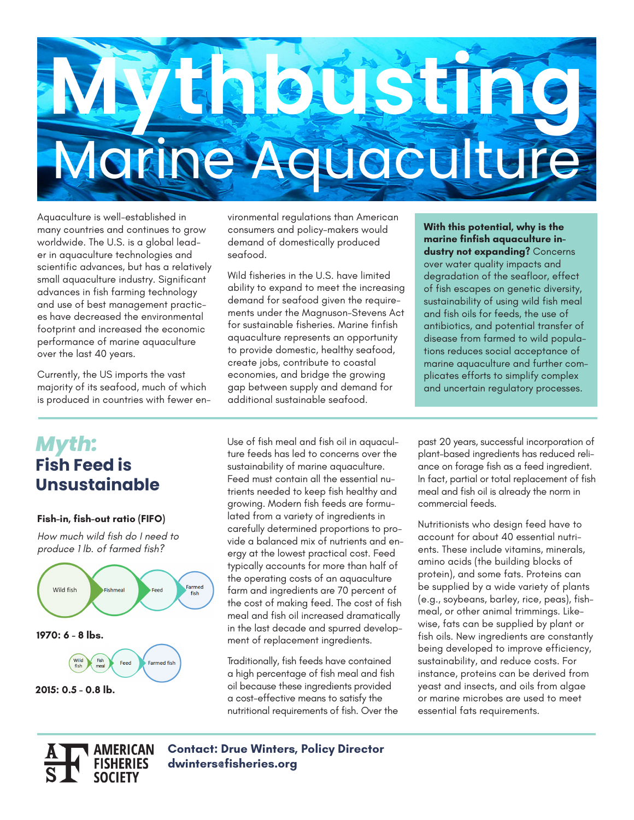

Aquaculture is well-established in many countries and continues to grow worldwide. The U.S. is a global leader in aquaculture technologies and scientific advances, but has a relatively small aquaculture industry. Significant advances in fish farming technology and use of best management practices have decreased the environmental footprint and increased the economic performance of marine aquaculture over the last 40 years.

Currently, the US imports the vast majority of its seafood, much of which is produced in countries with fewer environmental regulations than American consumers and policy-makers would demand of domestically produced seafood.

Wild fisheries in the U.S. have limited ability to expand to meet the increasing demand for seafood given the requirements under the Magnuson-Stevens Act for sustainable fisheries. Marine finfish aquaculture represents an opportunity to provide domestic, healthy seafood, create jobs, contribute to coastal economies, and bridge the growing gap between supply and demand for additional sustainable seafood.

**With this potential, why is the marine finfish aquaculture industry not expanding?** Concerns over water quality impacts and degradation of the seafloor, effect of fish escapes on genetic diversity, sustainability of using wild fish meal and fish oils for feeds, the use of antibiotics, and potential transfer of disease from farmed to wild populations reduces social acceptance of marine aquaculture and further complicates efforts to simplify complex and uncertain regulatory processes.

# *Myth:*  **Fish Feed is Unsustainable**

#### **Fish-in, fish-out ratio (FIFO)**

*How much wild fish do I need to produce 1 lb. of farmed fish?*



**SOCIETY** 

Use of fish meal and fish oil in aquaculture feeds has led to concerns over the sustainability of marine aquaculture. Feed must contain all the essential nutrients needed to keep fish healthy and growing. Modern fish feeds are formulated from a variety of ingredients in carefully determined proportions to provide a balanced mix of nutrients and energy at the lowest practical cost. Feed typically accounts for more than half of the operating costs of an aquaculture farm and ingredients are 70 percent of the cost of making feed. The cost of fish meal and fish oil increased dramatically in the last decade and spurred development of replacement ingredients.

Traditionally, fish feeds have contained a high percentage of fish meal and fish oil because these ingredients provided a cost-effective means to satisfy the nutritional requirements of fish. Over the past 20 years, successful incorporation of plant–based ingredients has reduced reliance on forage fish as a feed ingredient. In fact, partial or total replacement of fish meal and fish oil is already the norm in commercial feeds.

Nutritionists who design feed have to account for about 40 essential nutrients. These include vitamins, minerals, amino acids (the building blocks of protein), and some fats. Proteins can be supplied by a wide variety of plants (e.g., soybeans, barley, rice, peas), fishmeal, or other animal trimmings. Likewise, fats can be supplied by plant or fish oils. New ingredients are constantly being developed to improve efficiency, sustainability, and reduce costs. For instance, proteins can be derived from yeast and insects, and oils from algae or marine microbes are used to meet essential fats requirements.

**AMERICAN Contact: Drue Winters, Policy Director dwinters@fisheries.org**